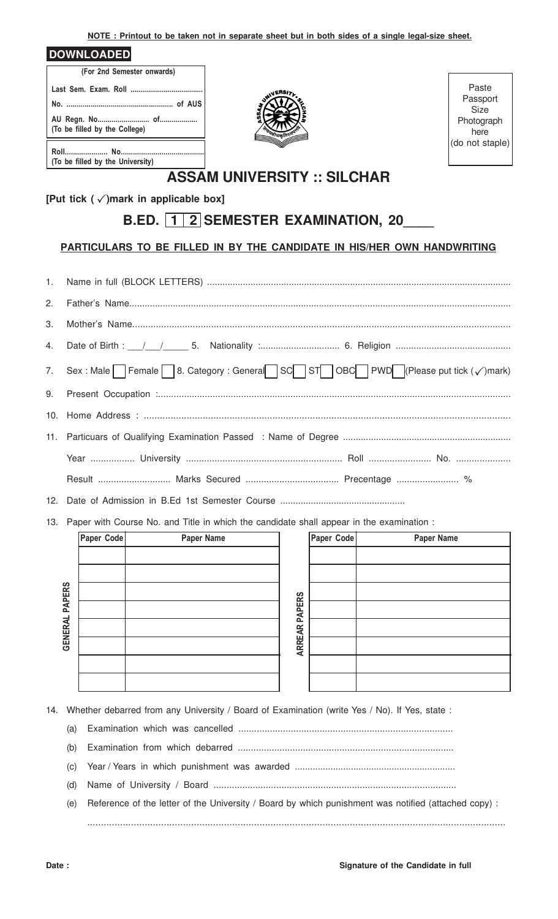**NOTE : Printout to be taken not in separate sheet but in both sides of a single legal-size sheet.**

| <b>DOWNLOADED</b> |
|-------------------|
|-------------------|

| (For 2nd Semester onwards)       |  |  |  |  |  |  |  |
|----------------------------------|--|--|--|--|--|--|--|
|                                  |  |  |  |  |  |  |  |
|                                  |  |  |  |  |  |  |  |
| (To be filled by the College)    |  |  |  |  |  |  |  |
| (To be filled by the University) |  |  |  |  |  |  |  |



Paste Passport Size Photograph here (do not staple)

## **ASSAM UNIVERSITY :: SILCHAR**

**[Put tick ( )mark in applicable box]** P

## **B.ED. 1 2 SEMESTER EXAMINATION, 20\_\_\_\_**

## **PARTICULARS TO BE FILLED IN BY THE CANDIDATE IN HIS/HER OWN HANDWRITING**

| 7. Sex : Male Female 8. Category : General SC ST OBC PWD (Please put tick $(\checkmark)$ mark) |  |  |  |  |  |  |  |
|------------------------------------------------------------------------------------------------|--|--|--|--|--|--|--|
|                                                                                                |  |  |  |  |  |  |  |
|                                                                                                |  |  |  |  |  |  |  |
|                                                                                                |  |  |  |  |  |  |  |
|                                                                                                |  |  |  |  |  |  |  |
| Result  Marks Secured  Precentage  %                                                           |  |  |  |  |  |  |  |

12. Date of Admission in B.Ed 1st Semester Course .................................................

13. Paper with Course No. and Title in which the candidate shall appear in the examination :

|                | Paper Code | Paper Name |               | Paper Code | Paper Name |
|----------------|------------|------------|---------------|------------|------------|
|                |            |            |               |            |            |
|                |            |            |               |            |            |
| <b>PAPERS</b>  |            |            |               |            |            |
|                |            |            | <b>PAPERS</b> |            |            |
| <b>GENERAL</b> |            |            |               |            |            |
|                |            |            | <b>ARREAR</b> |            |            |
|                |            |            |               |            |            |
|                |            |            |               |            |            |

14. Whether debarred from any University / Board of Examination (write Yes / No). If Yes, state :

- (a) Examination which was cancelled ..................................................................................
- (b) Examination from which debarred ...................................................................................
- (c) Year / Years in which punishment was awarded ...............................................................
- (d) Name of University / Board .............................................................................................
- (e) Reference of the letter of the University / Board by which punishment was notified (attached copy) : .........................................................................................................................................................